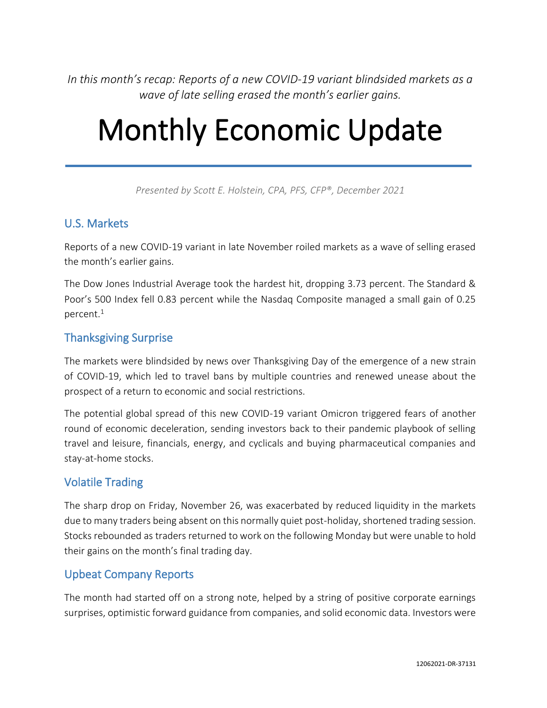*In this month's recap: Reports of a new COVID-19 variant blindsided markets as a wave of late selling erased the month's earlier gains.*

# Monthly Economic Update

*Presented by Scott E. Holstein, CPA, PFS, CFP®, December 2021*

# U.S. Markets

Reports of a new COVID-19 variant in late November roiled markets as a wave of selling erased the month's earlier gains.

The Dow Jones Industrial Average took the hardest hit, dropping 3.73 percent. The Standard & Poor's 500 Index fell 0.83 percent while the Nasdaq Composite managed a small gain of 0.25 percent.<sup>1</sup>

# Thanksgiving Surprise

The markets were blindsided by news over Thanksgiving Day of the emergence of a new strain of COVID-19, which led to travel bans by multiple countries and renewed unease about the prospect of a return to economic and social restrictions.

The potential global spread of this new COVID-19 variant Omicron triggered fears of another round of economic deceleration, sending investors back to their pandemic playbook of selling travel and leisure, financials, energy, and cyclicals and buying pharmaceutical companies and stay-at-home stocks.

# Volatile Trading

The sharp drop on Friday, November 26, was exacerbated by reduced liquidity in the markets due to many traders being absent on this normally quiet post-holiday, shortened trading session. Stocks rebounded as traders returned to work on the following Monday but were unable to hold their gains on the month's final trading day.

# Upbeat Company Reports

The month had started off on a strong note, helped by a string of positive corporate earnings surprises, optimistic forward guidance from companies, and solid economic data. Investors were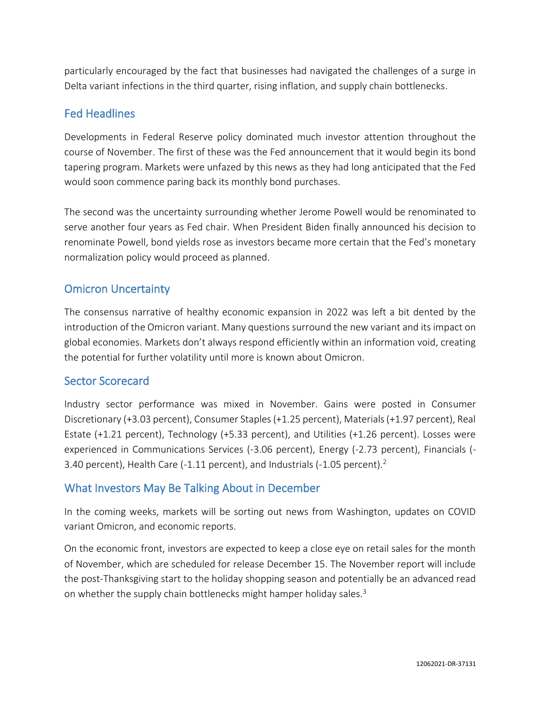particularly encouraged by the fact that businesses had navigated the challenges of a surge in Delta variant infections in the third quarter, rising inflation, and supply chain bottlenecks.

# Fed Headlines

Developments in Federal Reserve policy dominated much investor attention throughout the course of November. The first of these was the Fed announcement that it would begin its bond tapering program. Markets were unfazed by this news as they had long anticipated that the Fed would soon commence paring back its monthly bond purchases.

The second was the uncertainty surrounding whether Jerome Powell would be renominated to serve another four years as Fed chair. When President Biden finally announced his decision to renominate Powell, bond yields rose as investors became more certain that the Fed's monetary normalization policy would proceed as planned.

# Omicron Uncertainty

The consensus narrative of healthy economic expansion in 2022 was left a bit dented by the introduction of the Omicron variant. Many questions surround the new variant and its impact on global economies. Markets don't always respond efficiently within an information void, creating the potential for further volatility until more is known about Omicron.

# Sector Scorecard

Industry sector performance was mixed in November. Gains were posted in Consumer Discretionary (+3.03 percent), Consumer Staples (+1.25 percent), Materials (+1.97 percent), Real Estate (+1.21 percent), Technology (+5.33 percent), and Utilities (+1.26 percent). Losses were experienced in Communications Services (-3.06 percent), Energy (-2.73 percent), Financials (- 3.40 percent), Health Care (-1.11 percent), and Industrials (-1.05 percent).<sup>2</sup>

# What Investors May Be Talking About in December

In the coming weeks, markets will be sorting out news from Washington, updates on COVID variant Omicron, and economic reports.

On the economic front, investors are expected to keep a close eye on retail sales for the month of November, which are scheduled for release December 15. The November report will include the post-Thanksgiving start to the holiday shopping season and potentially be an advanced read on whether the supply chain bottlenecks might hamper holiday sales.<sup>3</sup>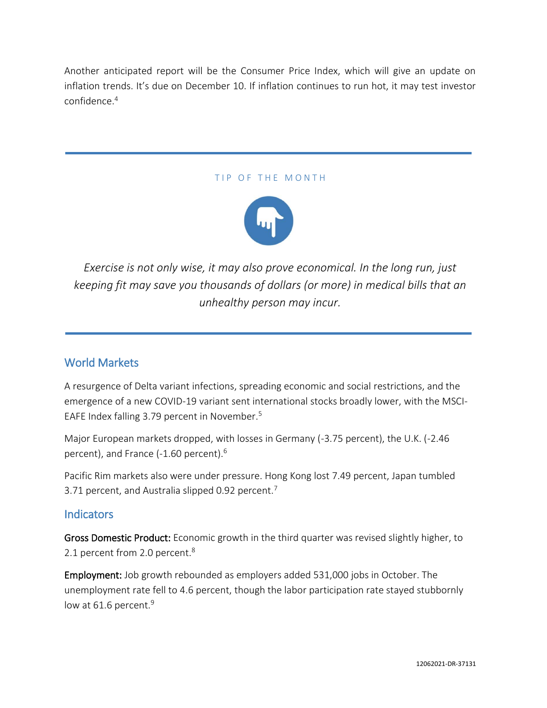Another anticipated report will be the Consumer Price Index, which will give an update on inflation trends. It's due on December 10. If inflation continues to run hot, it may test investor confidence.<sup>4</sup>

#### TIP OF THE MONTH



*Exercise is not only wise, it may also prove economical. In the long run, just keeping fit may save you thousands of dollars (or more) in medical bills that an unhealthy person may incur.*

# World Markets

A resurgence of Delta variant infections, spreading economic and social restrictions, and the emergence of a new COVID-19 variant sent international stocks broadly lower, with the MSCI-EAFE Index falling 3.79 percent in November.<sup>5</sup>

Major European markets dropped, with losses in Germany (-3.75 percent), the U.K. (-2.46 percent), and France (-1.60 percent).<sup>6</sup>

Pacific Rim markets also were under pressure. Hong Kong lost 7.49 percent, Japan tumbled 3.71 percent, and Australia slipped 0.92 percent.<sup>7</sup>

# **Indicators**

Gross Domestic Product: Economic growth in the third quarter was revised slightly higher, to 2.1 percent from 2.0 percent.<sup>8</sup>

Employment: Job growth rebounded as employers added 531,000 jobs in October. The unemployment rate fell to 4.6 percent, though the labor participation rate stayed stubbornly low at 61.6 percent.<sup>9</sup>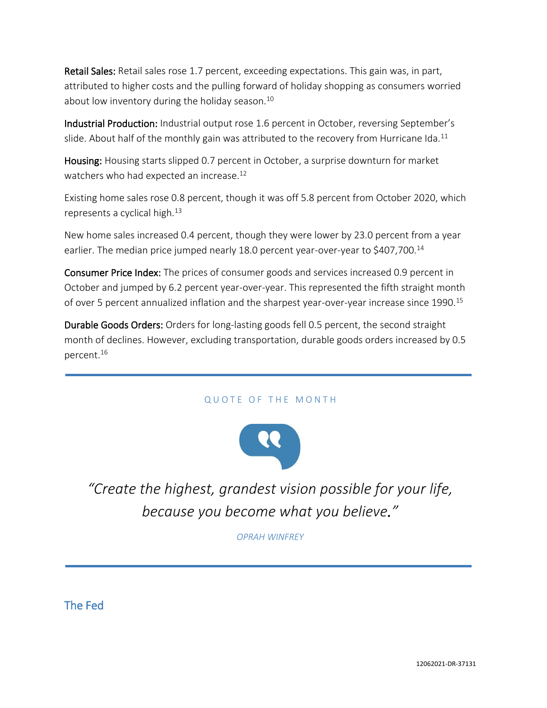Retail Sales: Retail sales rose 1.7 percent, exceeding expectations. This gain was, in part, attributed to higher costs and the pulling forward of holiday shopping as consumers worried about low inventory during the holiday season.<sup>10</sup>

Industrial Production: Industrial output rose 1.6 percent in October, reversing September's slide. About half of the monthly gain was attributed to the recovery from Hurricane Ida.<sup>11</sup>

Housing: Housing starts slipped 0.7 percent in October, a surprise downturn for market watchers who had expected an increase.<sup>12</sup>

Existing home sales rose 0.8 percent, though it was off 5.8 percent from October 2020, which represents a cyclical high. $^{13}$ 

New home sales increased 0.4 percent, though they were lower by 23.0 percent from a year earlier. The median price jumped nearly 18.0 percent year-over-year to \$407,700.<sup>14</sup>

Consumer Price Index: The prices of consumer goods and services increased 0.9 percent in October and jumped by 6.2 percent year-over-year. This represented the fifth straight month of over 5 percent annualized inflation and the sharpest year-over-year increase since 1990.<sup>15</sup>

Durable Goods Orders: Orders for long-lasting goods fell 0.5 percent, the second straight month of declines. However, excluding transportation, durable goods orders increased by 0.5 percent.<sup>16</sup>

## QUOTE OF THE MONTH



*"Create the highest, grandest vision possible for your life, because you become what you believe."*

*OPRAH WINFREY*

The Fed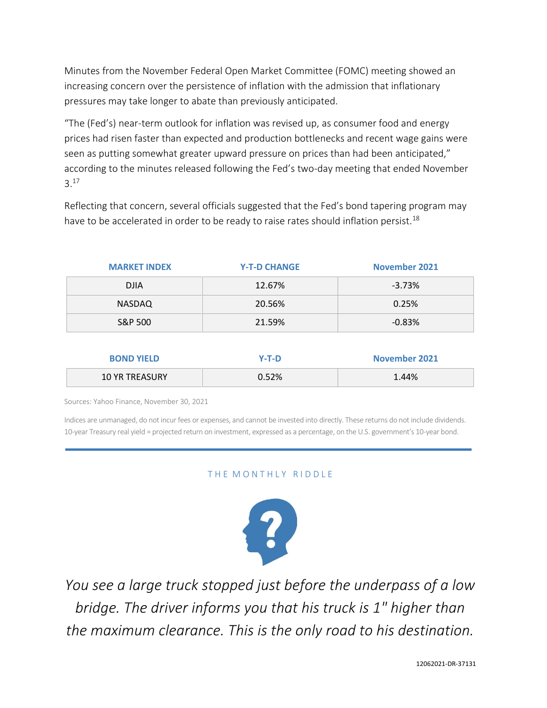Minutes from the November Federal Open Market Committee (FOMC) meeting showed an increasing concern over the persistence of inflation with the admission that inflationary pressures may take longer to abate than previously anticipated.

"The (Fed's) near-term outlook for inflation was revised up, as consumer food and energy prices had risen faster than expected and production bottlenecks and recent wage gains were seen as putting somewhat greater upward pressure on prices than had been anticipated," according to the minutes released following the Fed's two-day meeting that ended November 3.<sup>17</sup>

Reflecting that concern, several officials suggested that the Fed's bond tapering program may have to be accelerated in order to be ready to raise rates should inflation persist.<sup>18</sup>

| <b>MARKET INDEX</b>   | <b>Y-T-D CHANGE</b> | <b>November 2021</b> |
|-----------------------|---------------------|----------------------|
| <b>DJIA</b>           | 12.67%              | $-3.73%$             |
| <b>NASDAQ</b>         | 20.56%              | 0.25%                |
| S&P 500               | 21.59%              | $-0.83%$             |
|                       |                     |                      |
| <b>BOND YIELD</b>     | $Y-T-D$             | <b>November 2021</b> |
| <b>10 YR TREASURY</b> | 0.52%               | 1.44%                |

Sources: Yahoo Finance, November 30, 2021

Indices are unmanaged, do not incur fees or expenses, and cannot be invested into directly. These returns do not include dividends. 10-year Treasury real yield = projected return on investment, expressed as a percentage, on the U.S. government's 10-year bond.

## THE MONTHLY RIDDLE



*You see a large truck stopped just before the underpass of a low bridge. The driver informs you that his truck is 1" higher than the maximum clearance. This is the only road to his destination.*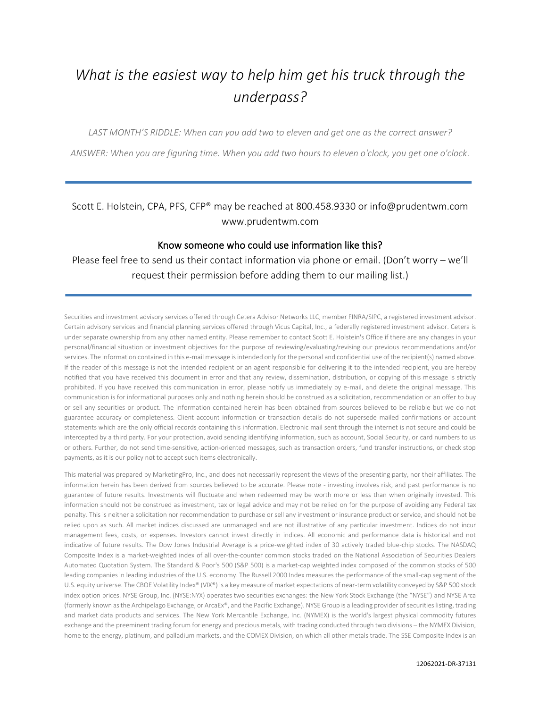# *What is the easiest way to help him get his truck through the underpass?*

*LAST MONTH'S RIDDLE: When can you add two to eleven and get one as the correct answer?*

*ANSWER: When you are figuring time. When you add two hours to eleven o'clock, you get one o'clock.*

Scott E. Holstein, CPA, PFS, CFP® may be reached at 800.458.9330 or info@prudentwm.com www.prudentwm.com

#### Know someone who could use information like this?

Please feel free to send us their contact information via phone or email. (Don't worry – we'll request their permission before adding them to our mailing list.)

Securities and investment advisory services offered through Cetera Advisor Networks LLC, member FINRA/SIPC, a registered investment advisor. Certain advisory services and financial planning services offered through Vicus Capital, Inc., a federally registered investment advisor. Cetera is under separate ownership from any other named entity. Please remember to contact Scott E. Holstein's Office if there are any changes in your personal/financial situation or investment objectives for the purpose of reviewing/evaluating/revising our previous recommendations and/or services. The information contained in this e-mail message is intended only for the personal and confidential use of the recipient(s) named above. If the reader of this message is not the intended recipient or an agent responsible for delivering it to the intended recipient, you are hereby notified that you have received this document in error and that any review, dissemination, distribution, or copying of this message is strictly prohibited. If you have received this communication in error, please notify us immediately by e-mail, and delete the original message. This communication is for informational purposes only and nothing herein should be construed as a solicitation, recommendation or an offer to buy or sell any securities or product. The information contained herein has been obtained from sources believed to be reliable but we do not guarantee accuracy or completeness. Client account information or transaction details do not supersede mailed confirmations or account statements which are the only official records containing this information. Electronic mail sent through the internet is not secure and could be intercepted by a third party. For your protection, avoid sending identifying information, such as account, Social Security, or card numbers to us or others. Further, do not send time-sensitive, action-oriented messages, such as transaction orders, fund transfer instructions, or check stop payments, as it is our policy not to accept such items electronically.

This material was prepared by MarketingPro, Inc., and does not necessarily represent the views of the presenting party, nor their affiliates. The information herein has been derived from sources believed to be accurate. Please note - investing involves risk, and past performance is no guarantee of future results. Investments will fluctuate and when redeemed may be worth more or less than when originally invested. This information should not be construed as investment, tax or legal advice and may not be relied on for the purpose of avoiding any Federal tax penalty. This is neither a solicitation nor recommendation to purchase or sell any investment or insurance product or service, and should not be relied upon as such. All market indices discussed are unmanaged and are not illustrative of any particular investment. Indices do not incur management fees, costs, or expenses. Investors cannot invest directly in indices. All economic and performance data is historical and not indicative of future results. The Dow Jones Industrial Average is a price-weighted index of 30 actively traded blue-chip stocks. The NASDAQ Composite Index is a market-weighted index of all over-the-counter common stocks traded on the National Association of Securities Dealers Automated Quotation System. The Standard & Poor's 500 (S&P 500) is a market-cap weighted index composed of the common stocks of 500 leading companies in leading industries of the U.S. economy. The Russell 2000 Index measures the performance of the small-cap segment of the U.S. equity universe. The CBOE Volatility Index® (VIX®) is a key measure of market expectations of near-term volatility conveyed by S&P 500 stock index option prices. NYSE Group, Inc. (NYSE:NYX) operates two securities exchanges: the New York Stock Exchange (the "NYSE") and NYSE Arca (formerly known as the Archipelago Exchange, or ArcaEx®, and the Pacific Exchange). NYSE Group is a leading provider of securities listing, trading and market data products and services. The New York Mercantile Exchange, Inc. (NYMEX) is the world's largest physical commodity futures exchange and the preeminent trading forum for energy and precious metals, with trading conducted through two divisions – the NYMEX Division, home to the energy, platinum, and palladium markets, and the COMEX Division, on which all other metals trade. The SSE Composite Index is an